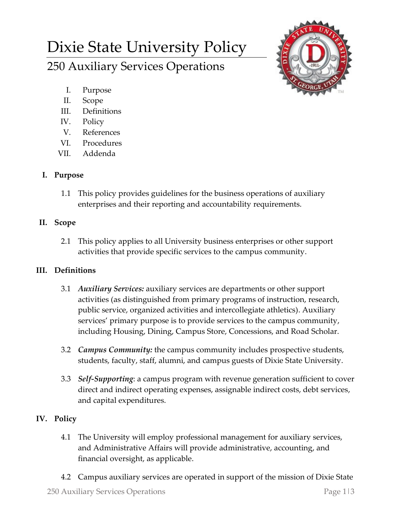# Dixie State University Policy 250 Auxiliary Services Operations



- I. Purpose
- II. Scope
- III. Definitions
- IV. Policy
- V. References
- VI. Procedures
- VII. Addenda

## **I. Purpose**

1.1 This policy provides guidelines for the business operations of auxiliary enterprises and their reporting and accountability requirements.

## **II. Scope**

2.1 This policy applies to all University business enterprises or other support activities that provide specific services to the campus community.

# **III. Definitions**

- 3.1 *Auxiliary Services:* auxiliary services are departments or other support activities (as distinguished from primary programs of instruction, research, public service, organized activities and intercollegiate athletics). Auxiliary services' primary purpose is to provide services to the campus community, including Housing, Dining, Campus Store, Concessions, and Road Scholar.
- 3.2 *Campus Community:* the campus community includes prospective students, students, faculty, staff, alumni, and campus guests of Dixie State University.
- 3.3 *Self-Supporting*: a campus program with revenue generation sufficient to cover direct and indirect operating expenses, assignable indirect costs, debt services, and capital expenditures.

# **IV. Policy**

- 4.1 The University will employ professional management for auxiliary services, and Administrative Affairs will provide administrative, accounting, and financial oversight, as applicable.
- 4.2 Campus auxiliary services are operated in support of the mission of Dixie State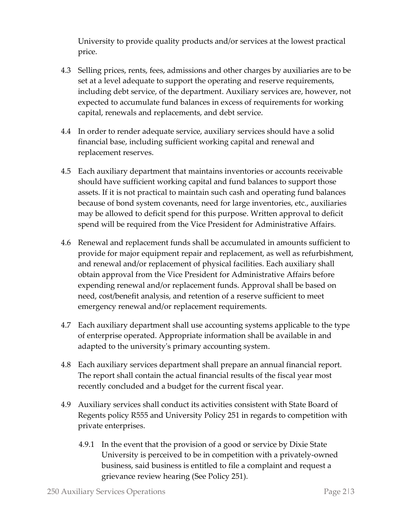University to provide quality products and/or services at the lowest practical price.

- 4.3 Selling prices, rents, fees, admissions and other charges by auxiliaries are to be set at a level adequate to support the operating and reserve requirements, including debt service, of the department. Auxiliary services are, however, not expected to accumulate fund balances in excess of requirements for working capital, renewals and replacements, and debt service.
- 4.4 In order to render adequate service, auxiliary services should have a solid financial base, including sufficient working capital and renewal and replacement reserves.
- 4.5 Each auxiliary department that maintains inventories or accounts receivable should have sufficient working capital and fund balances to support those assets. If it is not practical to maintain such cash and operating fund balances because of bond system covenants, need for large inventories, etc., auxiliaries may be allowed to deficit spend for this purpose. Written approval to deficit spend will be required from the Vice President for Administrative Affairs.
- 4.6 Renewal and replacement funds shall be accumulated in amounts sufficient to provide for major equipment repair and replacement, as well as refurbishment, and renewal and/or replacement of physical facilities. Each auxiliary shall obtain approval from the Vice President for Administrative Affairs before expending renewal and/or replacement funds. Approval shall be based on need, cost/benefit analysis, and retention of a reserve sufficient to meet emergency renewal and/or replacement requirements.
- 4.7 Each auxiliary department shall use accounting systems applicable to the type of enterprise operated. Appropriate information shall be available in and adapted to the university's primary accounting system.
- 4.8 Each auxiliary services department shall prepare an annual financial report. The report shall contain the actual financial results of the fiscal year most recently concluded and a budget for the current fiscal year.
- 4.9 Auxiliary services shall conduct its activities consistent with State Board of Regents policy R555 and University Policy 251 in regards to competition with private enterprises.
	- 4.9.1 In the event that the provision of a good or service by Dixie State University is perceived to be in competition with a privately-owned business, said business is entitled to file a complaint and request a grievance review hearing (See Policy 251).